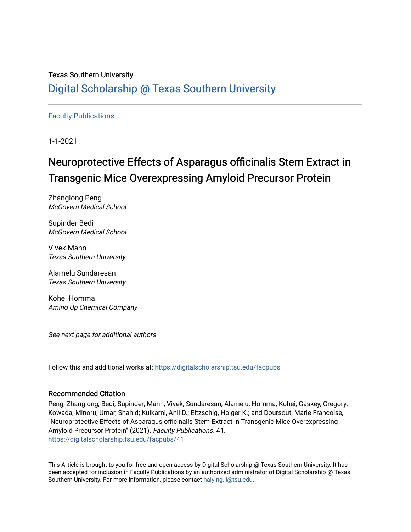# Texas Southern University [Digital Scholarship @ Texas Southern University](https://digitalscholarship.tsu.edu/)

# [Faculty Publications](https://digitalscholarship.tsu.edu/facpubs)

1-1-2021

# Neuroprotective Effects of Asparagus officinalis Stem Extract in Transgenic Mice Overexpressing Amyloid Precursor Protein

Zhanglong Peng McGovern Medical School

Supinder Bedi McGovern Medical School

Vivek Mann Texas Southern University

Alamelu Sundaresan Texas Southern University

Kohei Homma Amino Up Chemical Company

See next page for additional authors

Follow this and additional works at: [https://digitalscholarship.tsu.edu/facpubs](https://digitalscholarship.tsu.edu/facpubs?utm_source=digitalscholarship.tsu.edu%2Ffacpubs%2F41&utm_medium=PDF&utm_campaign=PDFCoverPages) 

# Recommended Citation

Peng, Zhanglong; Bedi, Supinder; Mann, Vivek; Sundaresan, Alamelu; Homma, Kohei; Gaskey, Gregory; Kowada, Minoru; Umar, Shahid; Kulkarni, Anil D.; Eltzschig, Holger K.; and Doursout, Marie Francoise, "Neuroprotective Effects of Asparagus officinalis Stem Extract in Transgenic Mice Overexpressing Amyloid Precursor Protein" (2021). Faculty Publications. 41. [https://digitalscholarship.tsu.edu/facpubs/41](https://digitalscholarship.tsu.edu/facpubs/41?utm_source=digitalscholarship.tsu.edu%2Ffacpubs%2F41&utm_medium=PDF&utm_campaign=PDFCoverPages)

This Article is brought to you for free and open access by Digital Scholarship @ Texas Southern University. It has been accepted for inclusion in Faculty Publications by an authorized administrator of Digital Scholarship @ Texas Southern University. For more information, please contact [haiying.li@tsu.edu](mailto:haiying.li@tsu.edu).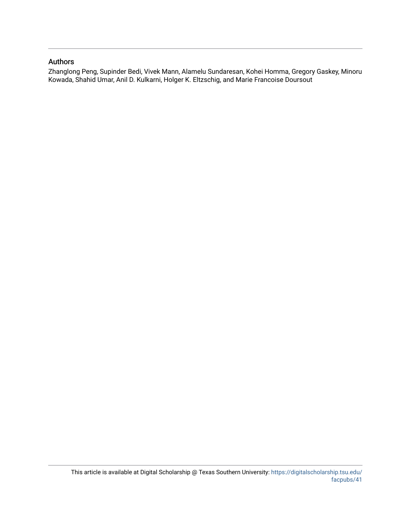# Authors

Zhanglong Peng, Supinder Bedi, Vivek Mann, Alamelu Sundaresan, Kohei Homma, Gregory Gaskey, Minoru Kowada, Shahid Umar, Anil D. Kulkarni, Holger K. Eltzschig, and Marie Francoise Doursout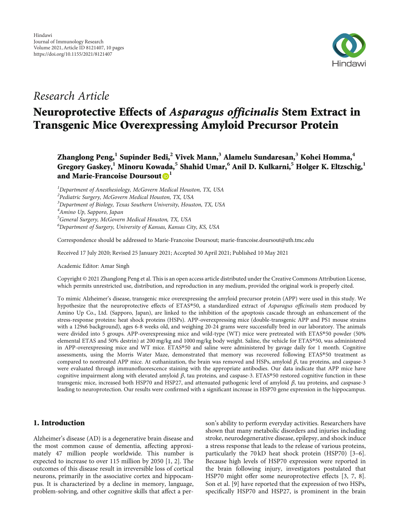

# Research Article

# Neuroprotective Effects of Asparagus officinalis Stem Extract in Transgenic Mice Overexpressing Amyloid Precursor Protein

Zhanglong Peng,**<sup>1</sup>** Supinder Bedi,**<sup>2</sup>** Vivek Mann,**<sup>3</sup>** Alamelu Sundaresan,**<sup>3</sup>** Kohei Homma,**<sup>4</sup>** Gregory Gaskey,**<sup>1</sup>** Minoru Kowada,**<sup>5</sup>** Shahid Umar,**<sup>6</sup>** Anil D. Kulkarni,**<sup>5</sup>** Holger K. Eltzschig,**<sup>1</sup>** and Marie-Francoise Doursout<sup>D</sup><sup>1</sup>

<sup>1</sup>Department of Anesthesiology, McGovern Medical Houston, TX, USA <sup>2</sup> Pediatric Surgery, McGovern Medical Houston, TX, USA <sup>3</sup>Department of Biology, Texas Southern University, Houston, TX, USA <sup>4</sup>Amino Up, Sapporo, Japan 5 General Surgery, McGovern Medical Houston, TX, USA 6 Department of Surgery, University of Kansas, Kansas City, KS, USA

Correspondence should be addressed to Marie-Francoise Doursout; marie-francoise.doursout@uth.tmc.edu

Received 17 July 2020; Revised 25 January 2021; Accepted 30 April 2021; Published 10 May 2021

Academic Editor: Amar Singh

Copyright © 2021 Zhanglong Peng et al. This is an open access article distributed under the [Creative Commons Attribution License](https://creativecommons.org/licenses/by/4.0/), which permits unrestricted use, distribution, and reproduction in any medium, provided the original work is properly cited.

To mimic Alzheimer's disease, transgenic mice overexpressing the amyloid precursor protein (APP) were used in this study. We hypothesize that the neuroprotective effects of ETAS®50, a standardized extract of Asparagus officinalis stem produced by Amino Up Co., Ltd. (Sapporo, Japan), are linked to the inhibition of the apoptosis cascade through an enhancement of the stress-response proteins: heat shock proteins (HSPs). APP-overexpressing mice (double-transgenic APP and PS1 mouse strains with a 129s6 background), ages 6-8 weeks old, and weighing 20-24 grams were successfully bred in our laboratory. The animals were divided into 5 groups. APP-overexpressing mice and wild-type (WT) mice were pretreated with ETAS®50 powder (50% elemental ETAS and 50% destrin) at 200 mg/kg and 1000 mg/kg body weight. Saline, the vehicle for ETAS®50, was administered in APP-overexpressing mice and WT mice. ETAS®50 and saline were administered by gavage daily for 1 month. Cognitive assessments, using the Morris Water Maze, demonstrated that memory was recovered following ETAS®50 treatment as compared to nontreated APP mice. At euthanization, the brain was removed and HSPs, amyloid *β*, tau proteins, and caspase-3 were evaluated through immunofluorescence staining with the appropriate antibodies. Our data indicate that APP mice have cognitive impairment along with elevated amyloid *β*, tau proteins, and caspase-3. ETAS®50 restored cognitive function in these transgenic mice, increased both HSP70 and HSP27, and attenuated pathogenic level of amyloid *β*, tau proteins, and caspsase-3 leading to neuroprotection. Our results were confirmed with a significant increase in HSP70 gene expression in the hippocampus.

# 1. Introduction

Alzheimer's disease (AD) is a degenerative brain disease and the most common cause of dementia, affecting approximately 47 million people worldwide. This number is expected to increase to over 115 million by 2050 [\[1,](#page-9-0) [2\]](#page-10-0). The outcomes of this disease result in irreversible loss of cortical neurons, primarily in the associative cortex and hippocampus. It is characterized by a decline in memory, language, problem-solving, and other cognitive skills that affect a per-

son's ability to perform everyday activities. Researchers have shown that many metabolic disorders and injuries including stroke, neurodegenerative disease, epilepsy, and shock induce a stress response that leads to the release of various proteins, particularly the 70 kD heat shock protein (HSP70) [[3](#page-10-0)–[6](#page-10-0)]. Because high levels of HSP70 expression were reported in the brain following injury, investigators postulated that HSP70 might offer some neuroprotective effects [[3, 7, 8](#page-10-0)]. Son et al. [[9](#page-10-0)] have reported that the expression of two HSPs, specifically HSP70 and HSP27, is prominent in the brain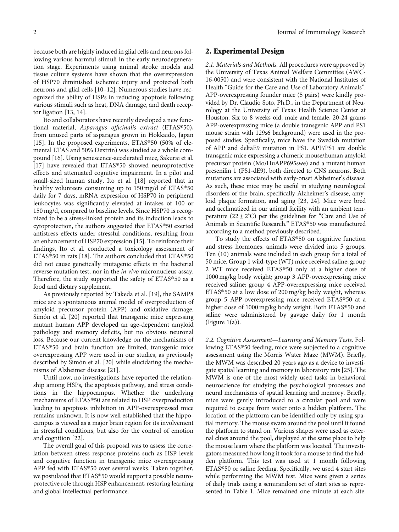because both are highly induced in glial cells and neurons following various harmful stimuli in the early neurodegeneration stage. Experiments using animal stroke models and tissue culture systems have shown that the overexpression of HSP70 diminished ischemic injury and protected both neurons and glial cells [[10](#page-10-0)–[12](#page-10-0)]. Numerous studies have recognized the ability of HSPs in reducing apoptosis following various stimuli such as heat, DNA damage, and death receptor ligation [[13](#page-10-0), [14\]](#page-10-0).

Ito and collaborators have recently developed a new functional material, Asparagus officinalis extract (ETAS®50), from unused parts of asparagus grown in Hokkaido, Japan [\[15](#page-10-0)]. In the proposed experiments, ETAS®50 (50% of elemental ETAS and 50% Dextrin) was studied as a whole compound [[16](#page-10-0)]. Using senescence-accelerated mice, Sakurai et al. [\[17](#page-10-0)] have revealed that ETAS®50 showed neuroprotective effects and attenuated cognitive impairment. In a pilot and small-sized human study, Ito et al. [\[18\]](#page-10-0) reported that in healthy volunteers consuming up to 150 mg/d of ETAS®50 daily for 7 days, mRNA expression of HSP70 in peripheral leukocytes was significantly elevated at intakes of 100 or 150 mg/d, compared to baseline levels. Since HSP70 is recognized to be a stress-linked protein and its induction leads to cytoprotection, the authors suggested that ETAS®50 exerted antistress effects under stressful conditions, resulting from an enhancement of HSP70 expression [\[15\]](#page-10-0). To reinforce their findings, Ito et al. conducted a toxicology assessment of ETAS®50 in rats [\[18\]](#page-10-0). The authors concluded that ETAS®50 did not cause genetically mutagenic effects in the bacterial reverse mutation test, nor in the in vivo micronucleus assay. Therefore, the study supported the safety of ETAS®50 as a food and dietary supplement.

As previously reported by Takeda et al. [\[19\]](#page-10-0), the SAMP8 mice are a spontaneous animal model of overproduction of amyloid precursor protein (APP) and oxidative damage. Simón et al. [\[20\]](#page-10-0) reported that transgenic mice expressing mutant human APP developed an age-dependent amyloid pathology and memory deficits, but no obvious neuronal loss. Because our current knowledge on the mechanisms of ETAS®50 and brain function are limited, transgenic mice overexpressing APP were used in our studies, as previously described by Simón et al. [\[20\]](#page-10-0) while elucidating the mechanisms of Alzheimer disease [\[21\]](#page-10-0).

Until now, no investigations have reported the relationship among HSPs, the apoptosis pathway, and stress conditions in the hippocampus. Whether the underlying mechanisms of ETAS®50 are related to HSP overproduction leading to apoptosis inhibition in APP-overexpressed mice remains unknown. It is now well established that the hippocampus is viewed as a major brain region for its involvement in stressful conditions, but also for the control of emotion and cognition [[22](#page-10-0)].

The overall goal of this proposal was to assess the correlation between stress response proteins such as HSP levels and cognitive function in transgenic mice overexpressing APP fed with ETAS®50 over several weeks. Taken together, we postulated that ETAS®50 would support a possible neuroprotective role through HSP enhancement, restoring learning and global intellectual performance.

## 2. Experimental Design

2.1. Materials and Methods. All procedures were approved by the University of Texas Animal Welfare Committee (AWC-16-0050) and were consistent with the National Institutes of Health "Guide for the Care and Use of Laboratory Animals". APP-overexpressing founder mice (5 pairs) were kindly provided by Dr. Claudio Soto, Ph.D., in the Department of Neurology at the University of Texas Health Science Center at Houston. Six to 8 weeks old, male and female, 20-24 grams APP-overexpressing mice (a double transgenic APP and PS1 mouse strain with 129s6 background) were used in the proposed studies. Specifically, mice have the Swedish mutation of APP and deltaE9 mutation in PS1. APP/PS1 are double transgenic mice expressing a chimeric mouse/human amyloid precursor protein (Mo/HuAPP695swe) and a mutant human presenilin 1 (PS1-dE9), both directed to CNS neurons. Both mutations are associated with early-onset Alzheimer's disease. As such, these mice may be useful in studying neurological disorders of the brain, specifically Alzheimer's disease, amyloid plaque formation, and aging [\[23, 24](#page-10-0)]. Mice were bred and acclimatized in our animal facility with an ambient temperature  $(22 \pm 2^{\circ}C)$  per the guidelines for "Care and Use of Animals in Scientific Research." ETAS®50 was manufactured according to a method previously described.

To study the effects of ETAS®50 on cognitive function and stress hormones, animals were divided into 5 groups. Ten (10) animals were included in each group for a total of 50 mice. Group 1 wild-type (WT) mice received saline; group 2 WT mice received ETAS®50 only at a higher dose of 1000 mg/kg body weight; group 3 APP-overexpressing mice received saline; group 4 APP-overexpressing mice received ETAS®50 at a low dose of 200 mg/kg body weight, whereas group 5 APP-overexpressing mice received ETAS®50 at a higher dose of 1000 mg/kg body weight. Both ETAS®50 and saline were administered by gavage daily for 1 month (Figure  $1(a)$ ).

2.2. Cognitive Assessment—Learning and Memory Tests. Following ETAS®50 feeding, mice were subjected to a cognitive assessment using the Morris Water Maze (MWM). Briefly, the MWM was described 20 years ago as a device to investigate spatial learning and memory in laboratory rats [[25\]](#page-10-0). The MWM is one of the most widely used tasks in behavioral neuroscience for studying the psychological processes and neural mechanisms of spatial learning and memory. Briefly, mice were gently introduced to a circular pool and were required to escape from water onto a hidden platform. The location of the platform can be identified only by using spatial memory. The mouse swam around the pool until it found the platform to stand on. Various shapes were used as external clues around the pool, displayed at the same place to help the mouse learn where the platform was located. The investigators measured how long it took for a mouse to find the hidden platform. This test was used at 1 month following ETAS®50 or saline feeding. Specifically, we used 4 start sites while performing the MWM test. Mice were given a series of daily trials using a semirandom set of start sites as represented in Table [1.](#page-4-0) Mice remained one minute at each site.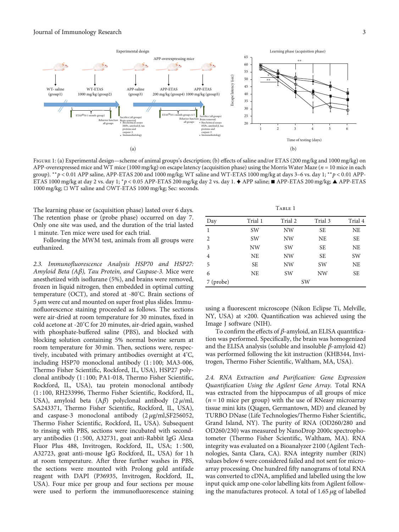<span id="page-4-0"></span>

FIGURE 1: (a) Experimental design—scheme of animal groups's description; (b) effects of saline and/or ETAS (200 mg/kg and 1000 mg/kg) on APP-overexpressed mice and WT mice (1000 mg/kg) on escape latency (acquisition phase) using the Morris Water Maze (*n* = 10 mice in each group). ∗∗*p* < 0*:*01 APP saline, APP-ETAS 200 and 1000 mg/kg; WT saline and WT-ETAS 1000 mg/kg at days 3–6 vs. day 1; ∗∗*p* < 0*:*01 APP-ETAS 1000 mg/kg at day 2 vs. day 1; <sup>∗</sup>*p* < 0*:*05 APP-ETAS 200 mg/kg day 2 vs. day 1. ♦ APP saline; ■ APP-ETAS 200 mg/kg; ▲ APP-ETAS 1000 mg/kg; □ WT saline and ○WT-ETAS 1000 mg/kg; Sec: seconds.

The learning phase or (acquisition phase) lasted over 6 days. The retention phase or (probe phase) occurred on day 7. Only one site was used, and the duration of the trial lasted 1 minute. Ten mice were used for each trial.

Following the MWM test, animals from all groups were euthanized.

2.3. Immunofluorescence Analysis HSP70 and HSP27: Amyloid Beta (A*β*), Tau Protein, and Caspase-3. Mice were anesthetized with isoflurane (5%), and brains were removed, frozen in liquid nitrogen, then embedded in optimal cutting temperature (OCT), and stored at -80° C. Brain sections of 5 *μ*m were cut and mounted on super frost plus slides. Immunofluorescence staining proceeded as follows. The sections were air-dried at room temperature for 30 minutes, fixed in cold acetone at -20° C for 20 minutes, air-dried again, washed with phosphate-buffered saline (PBS), and blocked with blocking solution containing 5% normal bovine serum at room temperature for 30 min. Then, sections were, respectively, incubated with primary antibodies overnight at 4° C, including HSP70 monoclonal antibody (1:100; MA3-006, Thermo Fisher Scientific, Rockford, IL, USA), HSP27 polyclonal antibody (1 : 100; PA1-018, Thermo Fisher Scientific, Rockford, IL, USA), tau protein monoclonal antibody (1 : 100, RH233996, Thermo Fisher Scientific, Rockford, IL, USA), amyloid beta (A*β*) polyclonal antibody (2 *μ*/ml, SA243371, Thermo Fisher Scientific, Rockford, IL, USA), and caspase-3 monoclonal antibody (2 *μ*g/ml,SF256052, Thermo Fisher Scientific, Rockford, IL, USA). Subsequent to rinsing with PBS, sections were incubated with secondary antibodies (1 : 500, A32731, goat anti-Rabbit IgG Alexa Fluor Plus 488, Invitrogen, Rockford, IL, USA; 1 : 500, A32723, goat anti-mouse IgG Rockford, IL, USA) for 1 h at room temperature. After three further washes in PBS, the sections were mounted with Prolong gold antifade reagent with DAPI (P36935, Invitrogen, Rockford, IL, USA). Four mice per group and four sections per mouse were used to perform the immunofluorescence staining

|           |           | TABLE 1   |           |           |
|-----------|-----------|-----------|-----------|-----------|
| Day       | Trial 1   | Trial 2   | Trial 3   | Trial 4   |
| 1         | <b>SW</b> | <b>NW</b> | <b>SE</b> | <b>NE</b> |
| 2         | <b>SW</b> | <b>NW</b> | <b>NE</b> | <b>SE</b> |
| 3         | NW        | <b>SW</b> | <b>SE</b> | <b>NE</b> |
| 4         | <b>NE</b> | <b>NW</b> | <b>SE</b> | SW        |
| 5         | <b>SE</b> | <b>NW</b> | <b>SW</b> | <b>NE</b> |
| 6         | <b>NE</b> | <b>SW</b> | <b>NW</b> | <b>SE</b> |
| 7 (probe) | SW        |           |           |           |

 $T_{\text{start}}$  1

using a fluorescent microscope (Nikon Eclipse Ti, Melville, NY, USA) at ×200. Quantification was achieved using the Image J software (NIH).

To confirm the effects of *β*-amyloid, an ELISA quantification was performed. Specifically, the brain was homogenized and the ELISA analysis (soluble and insoluble *β*-amyloid 42) was performed following the kit instruction (KHB344, Invitrogen, Thermo Fisher Scientific, Waltham, MA, USA).

2.4. RNA Extraction and Purification: Gene Expression Quantification Using the Agilent Gene Array. Total RNA was extracted from the hippocampus of all groups of mice  $(n = 10$  mice per group) with the use of RNeasy microarray tissue mini kits (Qiagen, Germantown, MD) and cleaned by TURBO DNase (Life Technologies/Thermo Fisher Scientific, Grand Island, NY). The purity of RNA (OD260/280 and OD260/230) was measured by NanoDrop 2000c spectrophotometer (Thermo Fisher Scientific, Waltham, MA). RNA integrity was evaluated on a Bioanalyzer 2100 (Agilent Technologies, Santa Clara, CA). RNA integrity number (RIN) values below 6 were considered failed and not sent for microarray processing. One hundred fifty nanograms of total RNA was converted to cDNA, amplified and labelled using the low input quick amp one-color labelling kits from Agilent following the manufactures protocol. A total of 1.65 *μ*g of labelled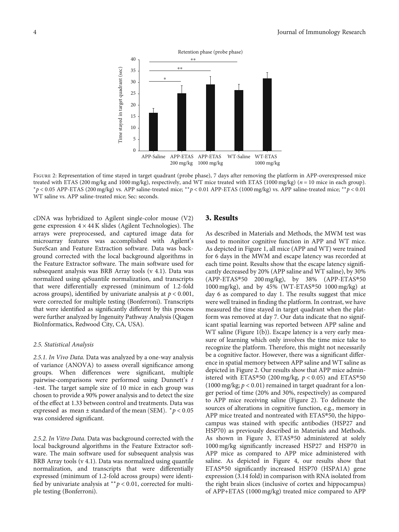

FIGURE 2: Representation of time stayed in target quadrant (probe phase), 7 days after removing the platform in APP-overexpressed mice treated with ETAS (200 mg/kg and 1000 mg/kg), respectively, and WT mice treated with ETAS (1000 mg/kg) (*n* = 10 mice in each group). <sup>∗</sup>*p* < 0*:*05 APP-ETAS (200 mg/kg) vs. APP saline-treated mice; ∗∗*p* < 0*:*01 APP-ETAS (1000 mg/kg) vs. APP saline-treated mice; ∗∗*p* < 0*:*01 WT saline vs. APP saline-treated mice; Sec: seconds.

cDNA was hybridized to Agilent single-color mouse (V2) gene expression  $4 \times 44$  K slides (Agilent Technologies). The arrays were preprocessed, and captured image data for microarray features was accomplished with Agilent's SureScan and Feature Extraction software. Data was background corrected with the local background algorithms in the Feature Extractor software. The main software used for subsequent analysis was BRB Array tools (v 4.1). Data was normalized using qsSuantile normalization, and transcripts that were differentially expressed (minimum of 1.2-fold across groups), identified by univariate analysis at *p* < 0*:*001, were corrected for multiple testing (Bonferroni). Transcripts that were identified as significantly different by this process were further analyzed by Ingenuity Pathway Analysis (Qiagen BioInformatics, Redwood City, CA, USA).

#### 2.5. Statistical Analysis

2.5.1. In Vivo Data. Data was analyzed by a one-way analysis of variance (ANOVA) to assess overall significance among groups. When differences were significant, multiple pairwise-comparisons were performed using Dunnett's *t* -test. The target sample size of 10 mice in each group was chosen to provide a 90% power analysis and to detect the size of the effect at 1.33 between control and treatments. Data was expressed as mean  $\pm$  standard of the mean (SEM).  $* p < 0.05$ was considered significant.

2.5.2. In Vitro Data. Data was background corrected with the local background algorithms in the Feature Extractor software. The main software used for subsequent analysis was BRB Array tools (v 4.1). Data was normalized using quantile normalization, and transcripts that were differentially expressed (minimum of 1.2-fold across groups) were identified by univariate analysis at ∗∗*p* < 0*:*01, corrected for multiple testing (Bonferroni).

#### 3. Results

As described in Materials and Methods, the MWM test was used to monitor cognitive function in APP and WT mice. As depicted in Figure [1,](#page-4-0) all mice (APP and WT) were trained for 6 days in the MWM and escape latency was recorded at each time point. Results show that the escape latency significantly decreased by 20% (APP saline and WT saline), by 30% (APP-ETAS®50 200 mg/kg), by 38% (APP-ETAS®50 1000 mg/kg), and by 45% (WT-ETAS®50 1000 mg/kg) at day 6 as compared to day 1. The results suggest that mice were well trained in finding the platform. In contrast, we have measured the time stayed in target quadrant when the platform was removed at day 7. Our data indicate that no significant spatial learning was reported between APP saline and WT saline (Figure [1\(b\)\)](#page-4-0). Escape latency is a very early measure of learning which only involves the time mice take to recognize the platform. Therefore, this might not necessarily be a cognitive factor. However, there was a significant difference in spatial memory between APP saline and WT saline as depicted in Figure 2. Our results show that APP mice administered with ETAS®50 (200 mg/kg, *p* < 0*:*05) and ETAS®50 (1000 mg/kg; *p* < 0*:*01) remained in target quadrant for a longer period of time (20% and 30%, respectively) as compared to APP mice receiving saline (Figure 2). To delineate the sources of alterations in cognitive function, e.g., memory in APP mice treated and nontreated with ETAS®50, the hippocampus was stained with specific antibodies (HSP27 and HSP70) as previously described in Materials and Methods. As shown in Figure [3,](#page-6-0) ETAS®50 administered at solely 1000 mg/kg significantly increased HSP27 and HSP70 in APP mice as compared to APP mice administered with saline. As depicted in Figure [4](#page-6-0), our results show that ETAS®50 significantly increased HSP70 (HSPA1A) gene expression (3.14 fold) in comparison with RNA isolated from the right brain slices (inclusive of cortex and hippocampus) of APP+ETAS (1000 mg/kg) treated mice compared to APP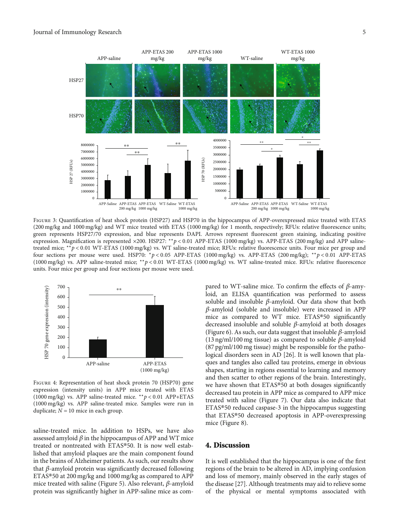<span id="page-6-0"></span>

FIGURE 3: Quantification of heat shock protein (HSP27) and HSP70 in the hippocampus of APP-overexpressed mice treated with ETAS  $(200 \text{ mg/kg}$  and  $1000 \text{ mg/kg})$  and WT mice treated with ETAS  $(1000 \text{ mg/kg})$  for 1 month, respectively; RFUs: relative fluorescence units; green represents HSP27/70 expression, and blue represents DAPI. Arrows represent fluorescent green staining, indicating positive expression. Magnification is represented ×200. HSP27: ∗∗*p* < 0*:*01 APP-ETAS (1000 mg/kg) vs. APP-ETAS (200 mg/kg) and APP salinetreated mice; \*\*p < 0.01 WT-ETAS (1000 mg/kg) vs. WT saline-treated mice; RFUs: relative fluorescence units. Four mice per group and four sections per mouse were used. HSP70: <sup>∗</sup>*p* < 0*:*05 APP-ETAS (1000 mg/kg) vs. APP-ETAS (200 mg/kg); ∗∗*p* < 0*:*01 APP-ETAS (1000 mg/kg) vs. APP saline-treated mice; ∗∗*p* < 0*:*01 WT-ETAS (1000 mg/kg) vs. WT saline-treated mice. RFUs: relative fluorescence units. Four mice per group and four sections per mouse were used.



Figure 4: Representation of heat shock protein 70 (HSP70) gene expression (intensity units) in APP mice treated with ETAS (1000 mg/kg) vs. APP saline-treated mice. ∗∗*p* < 0*:*01 APP+ETAS (1000 mg/kg) vs. APP saline-treated mice. Samples were run in duplicate;  $N = 10$  mice in each group.

saline-treated mice. In addition to HSPs, we have also assessed amyloid  $\beta$  in the hippocampus of APP and WT mice treated or nontreated with ETAS®50. It is now well established that amyloid plaques are the main component found in the brains of Alzheimer patients. As such, our results show that *β*-amyloid protein was significantly decreased following ETAS®50 at 200 mg/kg and 1000 mg/kg as compared to APP mice treated with saline (Figure [5\)](#page-7-0). Also relevant, *β*-amyloid protein was significantly higher in APP-saline mice as compared to WT-saline mice. To confirm the effects of *β*-amyloid, an ELISA quantification was performed to assess soluble and insoluble *β*-amyloid. Our data show that both *β*-amyloid (soluble and insoluble) were increased in APP mice as compared to WT mice. ETAS®50 significantly decreased insoluble and soluble *β*-amyloid at both dosages (Figure [6\)](#page-7-0). As such, our data suggest that insoluble *β*-amyloid (13 ng/ml/100 mg tissue) as compared to soluble *β*-amyloid (87 pg/ml/100 mg tissue) might be responsible for the pathological disorders seen in AD [\[26](#page-10-0)]. It is well known that plaques and tangles also called tau proteins, emerge in obvious shapes, starting in regions essential to learning and memory and then scatter to other regions of the brain. Interestingly, we have shown that ETAS®50 at both dosages significantly decreased tau protein in APP mice as compared to APP mice treated with saline (Figure [7](#page-8-0)). Our data also indicate that ETAS®50 reduced caspase-3 in the hippocampus suggesting that ETAS®50 decreased apoptosis in APP-overexpressing mice (Figure [8](#page-8-0)).

### 4. Discussion

It is well established that the hippocampus is one of the first regions of the brain to be altered in AD, implying confusion and loss of memory, mainly observed in the early stages of the disease [[27](#page-10-0)]. Although treatments may aid to relieve some of the physical or mental symptoms associated with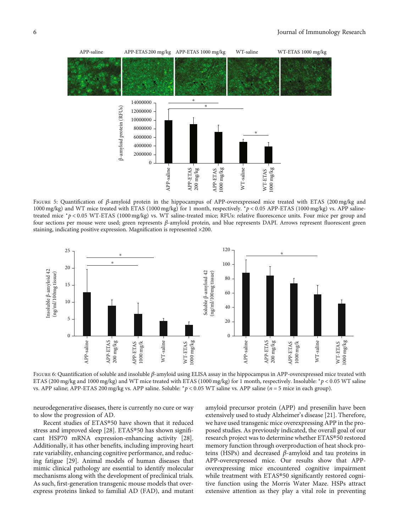<span id="page-7-0"></span>

Figure 5: Quantification of *<sup>β</sup>*-amyloid protein in the hippocampus of APP-overexpressed mice treated with ETAS (200 mg/kg and 1000 mg/kg) and WT mice treated with ETAS (1000 mg/kg) for 1 month, respectively. <sup>∗</sup>*p* < 0*:*05 APP-ETAS (1000 mg/kg) vs. APP salinetreated mice <sup>∗</sup>*p* < 0*:*05 WT-ETAS (1000 mg/kg) vs. WT saline-treated mice; RFUs: relative fluorescence units. Four mice per group and four sections per mouse were used; green represents *β*-amyloid protein, and blue represents DAPI. Arrows represent fluorescent green staining, indicating positive expression. Magnification is represented ×200.



Figure 6: Quantification of soluble and insoluble *<sup>β</sup>*-amyloid using ELISA assay in the hippocampus in APP-overexpressed mice treated with ETAS (200 mg/kg and 1000 mg/kg) and WT mice treated with ETAS (1000 mg/kg) for 1 month, respectively. Insoluble: <sup>∗</sup>*p* < 0*:*05 WT saline vs. APP saline; APP-ETAS 200 mg/kg vs. APP saline. Soluble: <sup>∗</sup>*p* < 0*:*05 WT saline vs. APP saline (*n* = 5 mice in each group).

neurodegenerative diseases, there is currently no cure or way to slow the progression of AD.

Recent studies of ETAS®50 have shown that it reduced stress and improved sleep [\[28](#page-10-0)]. ETAS®50 has shown significant HSP70 mRNA expression-enhancing activity [[28](#page-10-0)]. Additionally, it has other benefits, including improving heart rate variability, enhancing cognitive performance, and reducing fatigue [\[29\]](#page-10-0). Animal models of human diseases that mimic clinical pathology are essential to identify molecular mechanisms along with the development of preclinical trials. As such, first-generation transgenic mouse models that overexpress proteins linked to familial AD (FAD), and mutant

amyloid precursor protein (APP) and presenilin have been extensively used to study Alzheimer's disease [\[21\]](#page-10-0). Therefore, we have used transgenic mice overexpressing APP in the proposed studies. As previously indicated, the overall goal of our research project was to determine whether ETAS®50 restored memory function through overproduction of heat shock proteins (HSPs) and decreased *β*-amyloid and tau proteins in APP-overexpressed mice. Our results show that APPoverexpressing mice encountered cognitive impairment while treatment with ETAS®50 significantly restored cognitive function using the Morris Water Maze. HSPs attract extensive attention as they play a vital role in preventing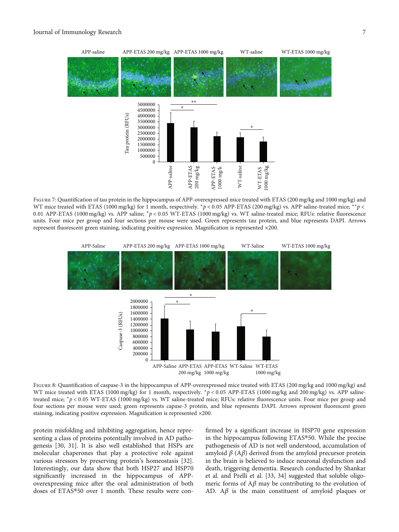<span id="page-8-0"></span>

FIGURE 7: Quantification of tau protein in the hippocampus of APP-overexpressed mice treated with ETAS (200 mg/kg and 1000 mg/kg) and WT mice treated with ETAS (1000 mg/kg) for 1 month, respectively. <sup>∗</sup>*p* < 0*:*05 APP-ETAS (200 mg/kg) vs. APP saline-treated mice; ∗∗*p* < 0*:*01 APP-ETAS (1000 mg/kg) vs. APP saline; <sup>∗</sup>*p* < 0*:*05 WT-ETAS (1000 mg/kg) vs. WT saline-treated mice; RFUs: relative fluorescence units. Four mice per group and four sections per mouse were used. Green represents tau protein, and blue represents DAPI. Arrows represent fluorescent green staining, indicating positive expression. Magnification is represented ×200.



FIGURE 8: Quantification of caspase-3 in the hippocampus of APP-overexpressed mice treated with ETAS (200 mg/kg and 1000 mg/kg) and WT mice treated with ETAS (1000 mg/kg) for 1 month, respectively. *\*p* < 0.05 APP-ETAS (1000 mg/kg and 200 mg/kg) vs. APP salinetreated mice; <sup>∗</sup>*p* < 0*:*05 WT-ETAS (1000 mg/kg) vs. WT saline-treated mice; RFUs: relative fluorescence units. Four mice per group and four sections per mouse were used; green represents capase-3 protein, and blue represents DAPI. Arrows represent fluorescent green staining, indicating positive expression. Magnification is represented ×200.

protein misfolding and inhibiting aggregation, hence representing a class of proteins potentially involved in AD pathogenesis [\[30, 31](#page-10-0)]. It is also well established that HSPs are molecular chaperones that play a protective role against various stressors by preserving protein's homeostasis [[32](#page-10-0)]. Interestingly, our data show that both HSP27 and HSP70 significantly increased in the hippocampus of APPoverexpressing mice after the oral administration of both doses of ETAS®50 over 1 month. These results were confirmed by a significant increase in HSP70 gene expression in the hippocampus following ETAS®50. While the precise pathogenesis of AD is not well understood, accumulation of amyloid *β* (A*β*) derived from the amyloid precursor protein in the brain is believed to induce neuronal dysfunction and death, triggering dementia. Research conducted by Shankar et al. and Prelli et al. [\[33, 34](#page-11-0)] suggested that soluble oligomeric forms of  $A\beta$  may be contributing to the evolution of AD. A*β* is the main constituent of amyloid plaques or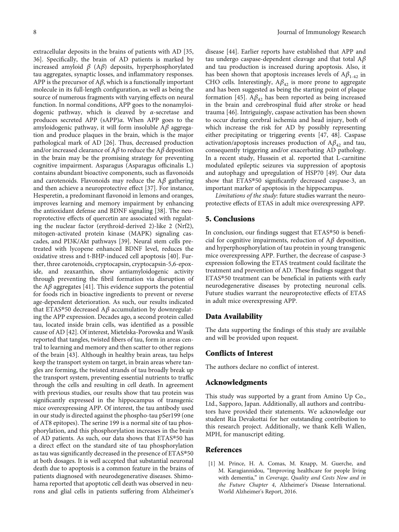<span id="page-9-0"></span>extracellular deposits in the brains of patients with AD [\[35,](#page-11-0) [36\]](#page-11-0). Specifically, the brain of AD patients is marked by increased amyloid *β* (A*β*) deposits, hyperphosphorylated tau aggregates, synaptic losses, and inflammatory responses. APP is the precursor of A*β*, which is a functionally important molecule in its full-length configuration, as well as being the source of numerous fragments with varying effects on neural function. In normal conditions, APP goes to the nonamyloidogenic pathway, which is cleaved by *α*-secretase and produces secreted APP (sAPP)*α*. When APP goes to the amyloidogenic pathway, it will form insoluble A*β* aggregation and produce plaques in the brain, which is the major pathological mark of AD [\[26\]](#page-10-0). Thus, decreased production and/or increased clearance of A*β* to reduce the A*β* deposition in the brain may be the promising strategy for preventing cognitive impairment. Asparagus (Asparagus officinalis L.) contains abundant bioactive components, such as flavonoids and carotenoids. Flavonoids may reduce the A*β* gathering and then achieve a neuroprotective effect [\[37\]](#page-11-0). For instance, Hesperetin, a predominant flavonoid in lemons and oranges, improves learning and memory impairment by enhancing the antioxidant defense and BDNF signaling [[38](#page-11-0)]. The neuroprotective effects of quercetin are associated with regulating the nuclear factor (erythroid-derived 2)-like 2 (Nrf2), mitogen-activated protein kinase (MAPK) signaling cascades, and PI3K/Akt pathways [\[39\]](#page-11-0). Neural stem cells pretreated with lycopene enhanced BDNF level, reduces the oxidative stress and t-BHP-induced cell apoptosis [\[40](#page-11-0)]. Further, three carotenoids, cryptocapsin, cryptocapsin-5,6-epoxide, and zeaxanthin, show antiamyloidogenic activity through preventing the fibril formation via disruption of the  $A\beta$  aggregates [[41](#page-11-0)]. This evidence supports the potential for foods rich in bioactive ingredients to prevent or reverse age-dependent deterioration. As such, our results indicated that ETAS®50 decreased A*β* accumulation by downregulating the APP expression. Decades ago, a second protein called tau, located inside brain cells, was identified as a possible cause of AD [[42](#page-11-0)]. Of interest, Mietelska-Porowska and Wasik reported that tangles, twisted fibers of tau, form in areas central to learning and memory and then scatter to other regions of the brain [[43](#page-11-0)]. Although in healthy brain areas, tau helps keep the transport system on target, in brain areas where tangles are forming, the twisted strands of tau broadly break up the transport system, preventing essential nutrients to traffic through the cells and resulting in cell death. In agreement with previous studies, our results show that tau protein was significantly expressed in the hippocampus of transgenic mice overexpressing APP. Of interest, the tau antibody used in our study is directed against the phospho-tau pSer199 (one of AT8 epitopes). The serine 199 is a normal site of tau phosphorylation, and this phosphorylation increases in the brain of AD patients. As such, our data shows that ETAS®50 has a direct effect on the standard site of tau phosphorylation as tau was significantly decreased in the presence of ETAS®50 at both dosages. It is well accepted that substantial neuronal death due to apoptosis is a common feature in the brains of patients diagnosed with neurodegenerative diseases. Shimohama reported that apoptotic cell death was observed in neurons and glial cells in patients suffering from Alzheimer's

disease [[44](#page-11-0)]. Earlier reports have established that APP and tau undergo caspase-dependent cleavage and that total A*β* and tau production is increased during apoptosis. Also, it has been shown that apoptosis increases levels of  $A\beta_{1-42}$  in CHO cells. Interestingly,  $A\beta_{42}$  is more prone to aggregate and has been suggested as being the starting point of plaque formation [\[45\]](#page-11-0).  $A\beta_{42}$  has been reported as being increased in the brain and cerebrospinal fluid after stroke or head trauma [[46](#page-11-0)]. Intriguingly, caspase activation has been shown to occur during cerebral ischemia and head injury, both of which increase the risk for AD by possibly representing either precipitating or triggering events [[47](#page-11-0), [48\]](#page-11-0). Caspase activation/apoptosis increases production of  $A\beta_{42}$  and tau, consequently triggering and/or exacerbating AD pathology. In a recent study, Hussein et al. reported that L-carnitine modulated epileptic seizures via suppression of apoptosis and autophagy and upregulation of HSP70 [[49](#page-11-0)]. Our data show that ETAS®50 significantly decreased caspase-3, an important marker of apoptosis in the hippocampus.

Limitations of the study: future studies warrant the neuroprotective effects of ETAS in adult mice overexpressing APP.

## 5. Conclusions

In conclusion, our findings suggest that ETAS®50 is beneficial for cognitive impairments, reduction of A*β* deposition, and hyperphosphorylation of tau protein in young transgenic mice overexpressing APP. Further, the decrease of caspase-3 expression following the ETAS treatment could facilitate the treatment and prevention of AD. These findings suggest that ETAS®50 treatment can be beneficial in patients with early neurodegenerative diseases by protecting neuronal cells. Future studies warrant the neuroprotective effects of ETAS in adult mice overexpressing APP.

### Data Availability

The data supporting the findings of this study are available and will be provided upon request.

## Conflicts of Interest

The authors declare no conflict of interest.

### Acknowledgments

This study was supported by a grant from Amino Up Co., Ltd., Sapporo, Japan. Additionally, all authors and contributors have provided their statements. We acknowledge our student Ria Devakottai for her outstanding contribution to this research project. Additionally, we thank Kelli Wallen, MPH, for manuscript editing.

### References

[1] M. Prince, H. A. Comas, M. Knapp, M. Guerche, and M. Karagiannidou, "Improving healthcare for people living with dementia," in Coverage, Quality and Costs Now and in the Future Chapter 4, Alzheimer's Disease International. World Alzheimer's Report, 2016.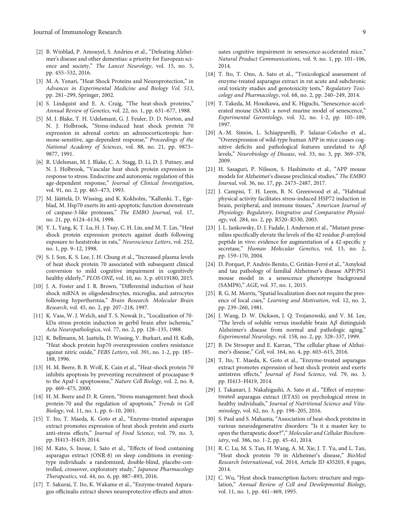- <span id="page-10-0"></span>[2] B. Winblad, P. Amouyel, S. Andrieu et al., "Defeating Alzheimer's disease and other dementias: a priority for European science and society," The Lancet Neurology, vol. 15, no. 5, pp. 455–532, 2016.
- [3] M. A. Yenari, "Heat Shock Proteins and Neuroprotection," in Advances in Experimental Medicine and Biology Vol. 513, pp. 281–299, Springer, 2002.
- [4] S. Lindquist and E. A. Craig, "The heat-shock proteins," Annual Review of Genetics, vol. 22, no. 1, pp. 631–677, 1988.
- [5] M. J. Blake, T. H. Udelsmant, G. J. Feuler, D. D. Norton, and N. J. Holbrook, "Stress-induced heat shock protein 70 expression in adrenal cortex: an adrenocorticotropic hormone-sensitive, age-dependent response," Proceedings of the National Academy of Sciences, vol. 88, no. 21, pp. 9873– 9877, 1991.
- [6] R. Udelsman, M. J. Blake, C. A. Stagg, D. Li, D. J. Putney, and N. J. Holbrook, "Vascular heat shock protein expression in response to stress. Endocrine and autonomic regulation of this age-dependent response," Journal of Clinical Investigation, vol. 91, no. 2, pp. 465–473, 1993.
- [7] M. Jäättelä, D. Wissing, and K. Kokholm, "Kallunki. T., Egeblad, M. Hsp70 exerts its anti-apoptotic function downstream of caspase-3-like proteases," The EMBO Journal, vol. 17, no. 21, pp. 6124–6134, 1998.
- [8] Y. L. Yang, K. T. Lu, H. J. Tsay, C. H. Lin, and M. T. Lin, "Heat shock protein expression protects against death following exposure to heatstroke in rats," Neuroscience Letters, vol. 252, no. 1, pp. 9–12, 1998.
- [9] S. J. Son, K. S. Lee, J. H. Chung et al., "Increased plasma levels of heat shock protein 70 associated with subsequent clinical conversion to mild cognitive impairment in cognitively healthy elderly," PLOS ONE, vol. 10, no. 3, p. e0119180, 2015.
- [10] J. A. Foster and I. R. Brown, "Differential induction of heat shock mRNA in oligodendrocytes, microglia, and astrocytes following hyperthermia," Brain Research. Molecular Brain Research, vol. 45, no. 2, pp. 207–218, 1997.
- [11] K. Vass, W. J. Welch, and T. S. Nowak Jr., "Localization of 70kDa stress protein induction in gerbil brain after ischemia," Acta Neuropathologica, vol. 77, no. 2, pp. 128–135, 1988.
- [12] K. Bellmann, M. Jaattela, D. Wissing, V. Burkart, and H. Kolb, "Heat shock protein hsp70 overexpression confers resistance against nitric oxide," FEBS Letters, vol. 391, no. 1-2, pp. 185– 188, 1996.
- [13] H. M. Beere, B. B. Wolf, K. Cain et al., "Heat-shock protein 70 inhibits apoptosis by preventing recruitment of procaspase-9 to the Apaf-1 apoptosome," Nature Cell Biology, vol. 2, no. 8, pp. 469–475, 2000.
- [14] H. M. Beere and D. R. Green, "Stress management: heat shock protein-70 and the regulation of apoptosis," Trends in Cell Biology, vol. 11, no. 1, pp. 6–10, 2001.
- [15] T. Ito, T. Maeda, K. Goto et al., "Enzyme-treated asparagus extract promotes expression of heat shock protein and exerts anti-stress effects," Journal of Food Science, vol. 79, no. 3, pp. H413–H419, 2014.
- [16] M. Kato, S. Inoue, I. Sato et al., "Effects of food containing asparagus extract (ONR-8) on sleep conditions in eveningtype individuals: a randomized, double-blind, placebo-controlled, crossover, exploratory study," Japanese Pharmacology Therapeutics, vol. 44, no. 6, pp. 887–893, 2016.
- [17] T. Sakurai, T. Ito, K. Wakame et al., "Enzyme-treated Asparagus officinalis extract shows neuroprotective effects and atten-

uates cognitive impairment in senescence-accelerated mice," Natural Product Communications, vol. 9, no. 1, pp. 101–106, 2014.

- [18] T. Ito, T. Ono, A. Sato et al., "Toxicological assessment of enzyme-treated asparagus extract in rat acute and subchronic oral toxicity studies and genotoxicity tests," Regulatory Toxicology and Pharmacology, vol. 68, no. 2, pp. 240–249, 2014.
- [19] T. Takeda, M. Hosokawa, and K. Higuchi, "Senescence-accelerated mouse (SAM): a novel murine model of senescence," Experimental Gerontology, vol. 32, no. 1-2, pp. 105–109, 1997.
- [20] A.-M. Simón, L. Schiapparelli, P. Salazar-Colocho et al., "Overexpression of wild-type human APP in mice causes cognitive deficits and pathological features unrelated to A*β* levels," Neurobiology of Disease, vol. 33, no. 3, pp. 369–378, 2009.
- [21] H. Sasaguri, P. Nilsson, S. Hashimoto et al., "APP mouse models for Alzheimer's disease preclinical studies," The EMBO Journal, vol. 36, no. 17, pp. 2473–2487, 2017.
- [22] J. Campisi, T. H. Leem, B. N. Greenwood et al., "Habitual physical activity facilitates stress-induced HSP72 induction in brain, peripheral, and immune tissues," American Journal of Physiology. Regulatory, Integrative and Comparative Physiology, vol. 284, no. 2, pp. R520–R530, 2003.
- [23] J. L. Jankowsky, D. J. Fadale, J. Anderson et al., "Mutant presenilins specifically elevate the levels of the 42 residue *β*-amyloid peptide in vivo: evidence for augmentation of a 42-specific *γ* secretase," Human Molecular Genetics, vol. 13, no. 2, pp. 159–170, 2004.
- [24] D. Porquet, P. Andrés-Benito, C. Griñán-Ferré et al.,"Amyloid and tau pathology of familial Alzheimer's disease APP/PS1 mouse model in a senescence phenotype background (SAMP8)," AGE, vol. 37, no. 1, 2015.
- [25] R. G. M. Morris, "Spatial localization does not require the presence of local cues," Learning and Motivation, vol. 12, no. 2, pp. 239–260, 1981.
- [26] J. Wang, D. W. Dickson, J. Q. Trojanowski, and V. M. Lee, "The levels of soluble versus insoluble brain A*β* distinguish Alzheimer's disease from normal and pathologic aging," Experimental Neurology, vol. 158, no. 2, pp. 328–337, 1999.
- [27] B. De Strooper and E. Karran, "The cellular phase of Alzheimer's disease," Cell, vol. 164, no. 4, pp. 603–615, 2016.
- [28] T. Ito, T. Maeda, K. Goto et al., "Enzyme-treated asparagus extract promotes expression of heat shock protein and exerts antistress effects," Journal of Food Science, vol. 79, no. 3, pp. H413–H419, 2014.
- [29] J. Takanari, J. Nakahigashi, A. Sato et al., "Effect of enzymetreated asparagus extract (ETAS) on psychological stress in healthy individuals," Journal of Nutritional Science and Vitaminology, vol. 62, no. 3, pp. 198–205, 2016.
- [30] S. Paul and S. Mahanta, "Association of heat-shock proteins in various neurodegenerative disorders: "Is it a master key to open the therapeutic door?"," Molecular and Cellular Biochemistry, vol. 386, no. 1-2, pp. 45–61, 2014.
- [31] R. C. Lu, M. S. Tan, H. Wang, A. M. Xie, J. T. Yu, and L. Tan, "Heat shock protein 70 in Alzheimer's disease," BioMed Research International, vol. 2014, Article ID 435203, 8 pages, 2014.
- [32] C. Wu, "Heat shock transcription factors: structure and regulation," Annual Review of Cell and Developmental Biology, vol. 11, no. 1, pp. 441–469, 1995.